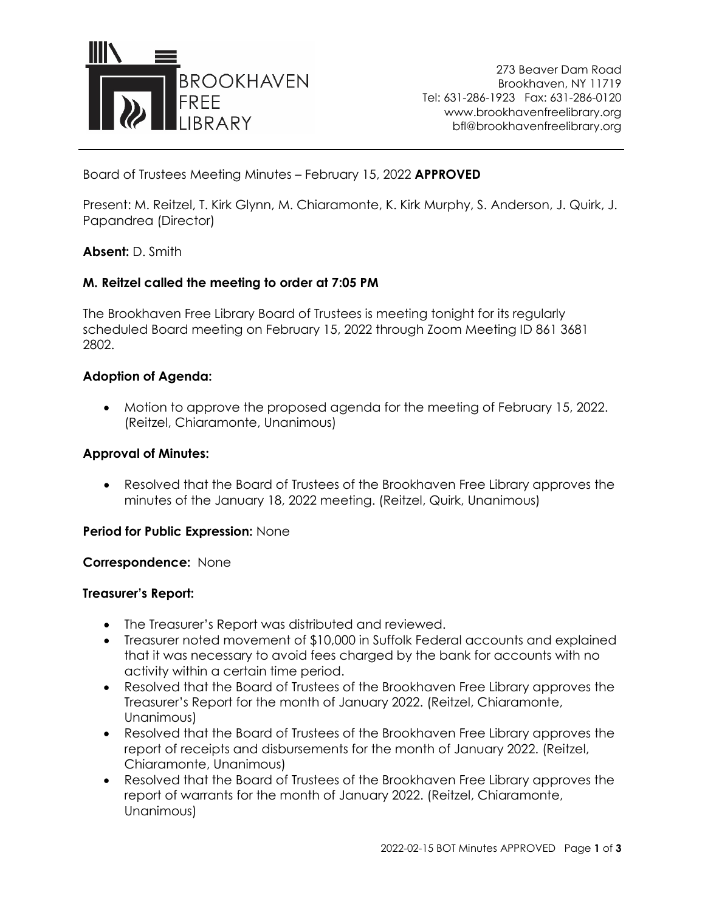

273 Beaver Dam Road Brookhaven, NY 11719 Tel: 631-286-1923 Fax: 631-286-0120 www.brookhavenfreelibrary.org bfl@brookhavenfreelibrary.org

Board of Trustees Meeting Minutes – February 15, 2022 **APPROVED**

Present: M. Reitzel, T. Kirk Glynn, M. Chiaramonte, K. Kirk Murphy, S. Anderson, J. Quirk, J. Papandrea (Director)

### **Absent:** D. Smith

### **M. Reitzel called the meeting to order at 7:05 PM**

The Brookhaven Free Library Board of Trustees is meeting tonight for its regularly scheduled Board meeting on February 15, 2022 through Zoom Meeting ID 861 3681 2802.

#### **Adoption of Agenda:**

• Motion to approve the proposed agenda for the meeting of February 15, 2022. (Reitzel, Chiaramonte, Unanimous)

#### **Approval of Minutes:**

• Resolved that the Board of Trustees of the Brookhaven Free Library approves the minutes of the January 18, 2022 meeting. (Reitzel, Quirk, Unanimous)

#### **Period for Public Expression:** None

#### **Correspondence:** None

#### **Treasurer's Report:**

- The Treasurer's Report was distributed and reviewed.
- Treasurer noted movement of \$10,000 in Suffolk Federal accounts and explained that it was necessary to avoid fees charged by the bank for accounts with no activity within a certain time period.
- Resolved that the Board of Trustees of the Brookhaven Free Library approves the Treasurer's Report for the month of January 2022. (Reitzel, Chiaramonte, Unanimous)
- Resolved that the Board of Trustees of the Brookhaven Free Library approves the report of receipts and disbursements for the month of January 2022. (Reitzel, Chiaramonte, Unanimous)
- Resolved that the Board of Trustees of the Brookhaven Free Library approves the report of warrants for the month of January 2022. (Reitzel, Chiaramonte, Unanimous)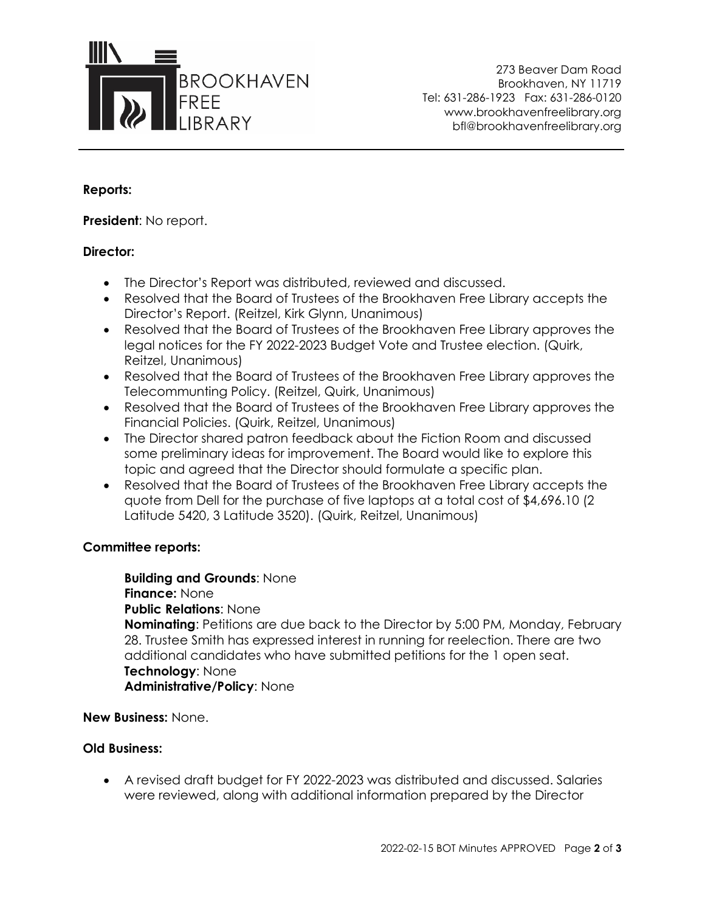

273 Beaver Dam Road Brookhaven, NY 11719 Tel: 631-286-1923 Fax: 631-286-0120 www.brookhavenfreelibrary.org bfl@brookhavenfreelibrary.org

### **Reports:**

**President**: No report.

### **Director:**

- The Director's Report was distributed, reviewed and discussed.
- Resolved that the Board of Trustees of the Brookhaven Free Library accepts the Director's Report. (Reitzel, Kirk Glynn, Unanimous)
- Resolved that the Board of Trustees of the Brookhaven Free Library approves the legal notices for the FY 2022-2023 Budget Vote and Trustee election. (Quirk, Reitzel, Unanimous)
- Resolved that the Board of Trustees of the Brookhaven Free Library approves the Telecommunting Policy. (Reitzel, Quirk, Unanimous)
- Resolved that the Board of Trustees of the Brookhaven Free Library approves the Financial Policies. (Quirk, Reitzel, Unanimous)
- The Director shared patron feedback about the Fiction Room and discussed some preliminary ideas for improvement. The Board would like to explore this topic and agreed that the Director should formulate a specific plan.
- Resolved that the Board of Trustees of the Brookhaven Free Library accepts the quote from Dell for the purchase of five laptops at a total cost of \$4,696.10 (2 Latitude 5420, 3 Latitude 3520). (Quirk, Reitzel, Unanimous)

## **Committee reports:**

**Building and Grounds**: None **Finance:** None **Public Relations**: None **Nominating**: Petitions are due back to the Director by 5:00 PM, Monday, February 28. Trustee Smith has expressed interest in running for reelection. There are two additional candidates who have submitted petitions for the 1 open seat. **Technology**: None **Administrative/Policy**: None

### **New Business:** None.

### **Old Business:**

• A revised draft budget for FY 2022-2023 was distributed and discussed. Salaries were reviewed, along with additional information prepared by the Director